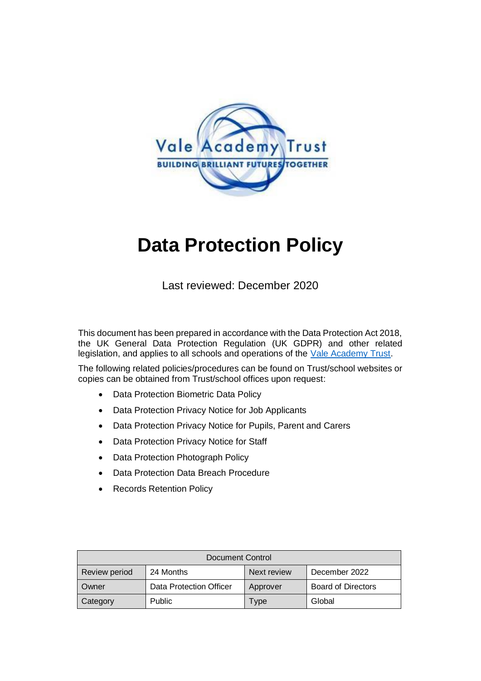

# **Data Protection Policy**

Last reviewed: December 2020

This document has been prepared in accordance with the Data Protection Act 2018, the UK General Data Protection Regulation (UK GDPR) and other related legislation, and applies to all schools and operations of the [Vale Academy Trust.](http://www.vale-academy.org/)

The following related policies/procedures can be found on Trust/school websites or copies can be obtained from Trust/school offices upon request:

- Data Protection Biometric Data Policy
- Data Protection Privacy Notice for Job Applicants
- Data Protection Privacy Notice for Pupils, Parent and Carers
- Data Protection Privacy Notice for Staff
- Data Protection Photograph Policy
- Data Protection Data Breach Procedure
- Records Retention Policy

| Document Control |                         |             |                           |
|------------------|-------------------------|-------------|---------------------------|
| Review period    | 24 Months               | Next review | December 2022             |
| Owner            | Data Protection Officer | Approver    | <b>Board of Directors</b> |
| Category         | <b>Public</b>           | Type        | Global                    |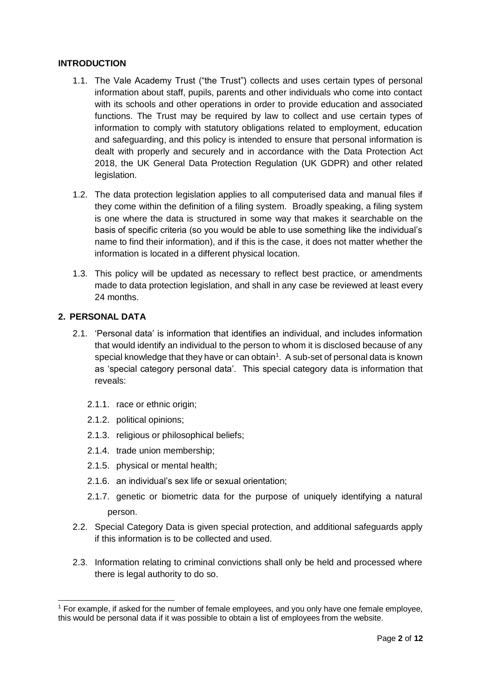## **INTRODUCTION**

- 1.1. The Vale Academy Trust ("the Trust") collects and uses certain types of personal information about staff, pupils, parents and other individuals who come into contact with its schools and other operations in order to provide education and associated functions. The Trust may be required by law to collect and use certain types of information to comply with statutory obligations related to employment, education and safeguarding, and this policy is intended to ensure that personal information is dealt with properly and securely and in accordance with the Data Protection Act 2018, the UK General Data Protection Regulation (UK GDPR) and other related legislation.
- 1.2. The data protection legislation applies to all computerised data and manual files if they come within the definition of a filing system. Broadly speaking, a filing system is one where the data is structured in some way that makes it searchable on the basis of specific criteria (so you would be able to use something like the individual's name to find their information), and if this is the case, it does not matter whether the information is located in a different physical location.
- 1.3. This policy will be updated as necessary to reflect best practice, or amendments made to data protection legislation, and shall in any case be reviewed at least every 24 months.

## **2. PERSONAL DATA**

1

- 2.1. 'Personal data' is information that identifies an individual, and includes information that would identify an individual to the person to whom it is disclosed because of any special knowledge that they have or can obtain<sup>1</sup>. A sub-set of personal data is known as 'special category personal data'. This special category data is information that reveals:
	- 2.1.1. race or ethnic origin;
	- 2.1.2. political opinions;
	- 2.1.3. religious or philosophical beliefs;
	- 2.1.4. trade union membership;
	- 2.1.5. physical or mental health;
	- 2.1.6. an individual's sex life or sexual orientation;
	- 2.1.7. genetic or biometric data for the purpose of uniquely identifying a natural person.
- 2.2. Special Category Data is given special protection, and additional safeguards apply if this information is to be collected and used.
- 2.3. Information relating to criminal convictions shall only be held and processed where there is legal authority to do so.

<sup>1</sup> For example, if asked for the number of female employees, and you only have one female employee, this would be personal data if it was possible to obtain a list of employees from the website.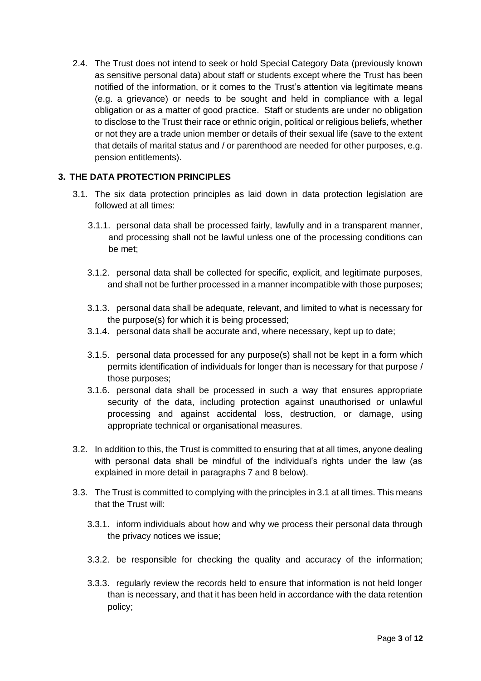2.4. The Trust does not intend to seek or hold Special Category Data (previously known as sensitive personal data) about staff or students except where the Trust has been notified of the information, or it comes to the Trust's attention via legitimate means (e.g. a grievance) or needs to be sought and held in compliance with a legal obligation or as a matter of good practice. Staff or students are under no obligation to disclose to the Trust their race or ethnic origin, political or religious beliefs, whether or not they are a trade union member or details of their sexual life (save to the extent that details of marital status and / or parenthood are needed for other purposes, e.g. pension entitlements).

# **3. THE DATA PROTECTION PRINCIPLES**

- 3.1. The six data protection principles as laid down in data protection legislation are followed at all times:
	- 3.1.1. personal data shall be processed fairly, lawfully and in a transparent manner, and processing shall not be lawful unless one of the processing conditions can be met;
	- 3.1.2. personal data shall be collected for specific, explicit, and legitimate purposes, and shall not be further processed in a manner incompatible with those purposes;
	- 3.1.3. personal data shall be adequate, relevant, and limited to what is necessary for the purpose(s) for which it is being processed;
	- 3.1.4. personal data shall be accurate and, where necessary, kept up to date;
	- 3.1.5. personal data processed for any purpose(s) shall not be kept in a form which permits identification of individuals for longer than is necessary for that purpose / those purposes;
	- 3.1.6. personal data shall be processed in such a way that ensures appropriate security of the data, including protection against unauthorised or unlawful processing and against accidental loss, destruction, or damage, using appropriate technical or organisational measures.
- 3.2. In addition to this, the Trust is committed to ensuring that at all times, anyone dealing with personal data shall be mindful of the individual's rights under the law (as explained in more detail in paragraphs 7 and 8 below).
- 3.3. The Trust is committed to complying with the principles in 3.1 at all times. This means that the Trust will:
	- 3.3.1. inform individuals about how and why we process their personal data through the privacy notices we issue;
	- 3.3.2. be responsible for checking the quality and accuracy of the information;
	- 3.3.3. regularly review the records held to ensure that information is not held longer than is necessary, and that it has been held in accordance with the data retention policy;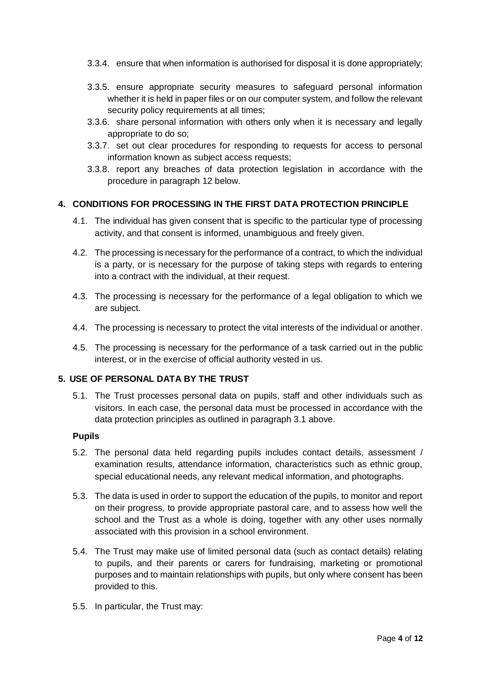- 3.3.4. ensure that when information is authorised for disposal it is done appropriately;
- 3.3.5. ensure appropriate security measures to safeguard personal information whether it is held in paper files or on our computer system, and follow the relevant security policy requirements at all times;
- 3.3.6. share personal information with others only when it is necessary and legally appropriate to do so;
- 3.3.7. set out clear procedures for responding to requests for access to personal information known as subject access requests;
- 3.3.8. report any breaches of data protection legislation in accordance with the procedure in paragraph 12 below.

## **4. CONDITIONS FOR PROCESSING IN THE FIRST DATA PROTECTION PRINCIPLE**

- 4.1. The individual has given consent that is specific to the particular type of processing activity, and that consent is informed, unambiguous and freely given.
- 4.2. The processing is necessary for the performance of a contract, to which the individual is a party, or is necessary for the purpose of taking steps with regards to entering into a contract with the individual, at their request.
- 4.3. The processing is necessary for the performance of a legal obligation to which we are subject.
- 4.4. The processing is necessary to protect the vital interests of the individual or another.
- 4.5. The processing is necessary for the performance of a task carried out in the public interest, or in the exercise of official authority vested in us.

## **5. USE OF PERSONAL DATA BY THE TRUST**

5.1. The Trust processes personal data on pupils, staff and other individuals such as visitors. In each case, the personal data must be processed in accordance with the data protection principles as outlined in paragraph 3.1 above.

#### **Pupils**

- 5.2. The personal data held regarding pupils includes contact details, assessment / examination results, attendance information, characteristics such as ethnic group, special educational needs, any relevant medical information, and photographs.
- 5.3. The data is used in order to support the education of the pupils, to monitor and report on their progress, to provide appropriate pastoral care, and to assess how well the school and the Trust as a whole is doing, together with any other uses normally associated with this provision in a school environment.
- 5.4. The Trust may make use of limited personal data (such as contact details) relating to pupils, and their parents or carers for fundraising, marketing or promotional purposes and to maintain relationships with pupils, but only where consent has been provided to this.
- 5.5. In particular, the Trust may: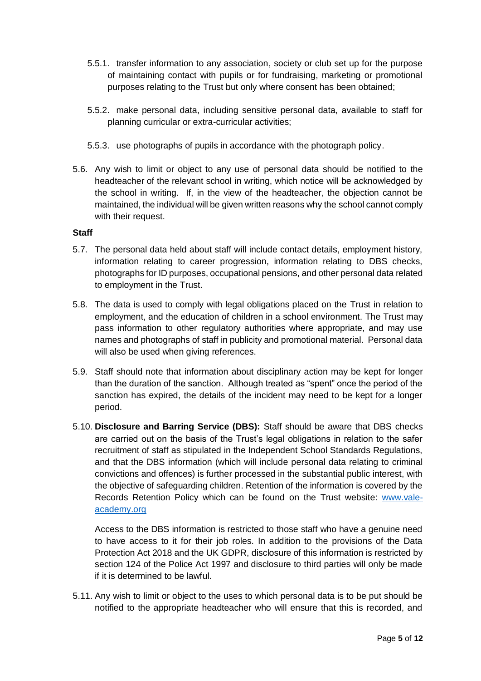- 5.5.1. transfer information to any association, society or club set up for the purpose of maintaining contact with pupils or for fundraising, marketing or promotional purposes relating to the Trust but only where consent has been obtained;
- 5.5.2. make personal data, including sensitive personal data, available to staff for planning curricular or extra-curricular activities;
- 5.5.3. use photographs of pupils in accordance with the photograph policy.
- 5.6. Any wish to limit or object to any use of personal data should be notified to the headteacher of the relevant school in writing, which notice will be acknowledged by the school in writing. If, in the view of the headteacher, the objection cannot be maintained, the individual will be given written reasons why the school cannot comply with their request.

#### **Staff**

- 5.7. The personal data held about staff will include contact details, employment history, information relating to career progression, information relating to DBS checks, photographs for ID purposes, occupational pensions, and other personal data related to employment in the Trust.
- 5.8. The data is used to comply with legal obligations placed on the Trust in relation to employment, and the education of children in a school environment. The Trust may pass information to other regulatory authorities where appropriate, and may use names and photographs of staff in publicity and promotional material. Personal data will also be used when giving references.
- 5.9. Staff should note that information about disciplinary action may be kept for longer than the duration of the sanction. Although treated as "spent" once the period of the sanction has expired, the details of the incident may need to be kept for a longer period.
- 5.10. **Disclosure and Barring Service (DBS):** Staff should be aware that DBS checks are carried out on the basis of the Trust's legal obligations in relation to the safer recruitment of staff as stipulated in the Independent School Standards Regulations, and that the DBS information (which will include personal data relating to criminal convictions and offences) is further processed in the substantial public interest, with the objective of safeguarding children. Retention of the information is covered by the Records Retention Policy which can be found on the Trust website: [www.vale](http://www.vale-academy.org/)[academy.org](http://www.vale-academy.org/)

Access to the DBS information is restricted to those staff who have a genuine need to have access to it for their job roles. In addition to the provisions of the Data Protection Act 2018 and the UK GDPR, disclosure of this information is restricted by section 124 of the Police Act 1997 and disclosure to third parties will only be made if it is determined to be lawful.

5.11. Any wish to limit or object to the uses to which personal data is to be put should be notified to the appropriate headteacher who will ensure that this is recorded, and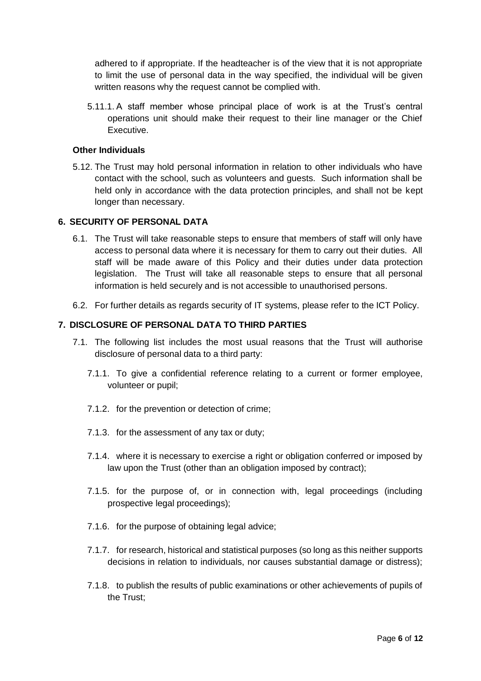adhered to if appropriate. If the headteacher is of the view that it is not appropriate to limit the use of personal data in the way specified, the individual will be given written reasons why the request cannot be complied with.

5.11.1. A staff member whose principal place of work is at the Trust's central operations unit should make their request to their line manager or the Chief Executive.

## **Other Individuals**

5.12. The Trust may hold personal information in relation to other individuals who have contact with the school, such as volunteers and guests. Such information shall be held only in accordance with the data protection principles, and shall not be kept longer than necessary.

## **6. SECURITY OF PERSONAL DATA**

- 6.1. The Trust will take reasonable steps to ensure that members of staff will only have access to personal data where it is necessary for them to carry out their duties. All staff will be made aware of this Policy and their duties under data protection legislation. The Trust will take all reasonable steps to ensure that all personal information is held securely and is not accessible to unauthorised persons.
- 6.2. For further details as regards security of IT systems, please refer to the ICT Policy.

## **7. DISCLOSURE OF PERSONAL DATA TO THIRD PARTIES**

- 7.1. The following list includes the most usual reasons that the Trust will authorise disclosure of personal data to a third party:
	- 7.1.1. To give a confidential reference relating to a current or former employee, volunteer or pupil;
	- 7.1.2. for the prevention or detection of crime;
	- 7.1.3. for the assessment of any tax or duty;
	- 7.1.4. where it is necessary to exercise a right or obligation conferred or imposed by law upon the Trust (other than an obligation imposed by contract);
	- 7.1.5. for the purpose of, or in connection with, legal proceedings (including prospective legal proceedings);
	- 7.1.6. for the purpose of obtaining legal advice;
	- 7.1.7. for research, historical and statistical purposes (so long as this neither supports decisions in relation to individuals, nor causes substantial damage or distress);
	- 7.1.8. to publish the results of public examinations or other achievements of pupils of the Trust;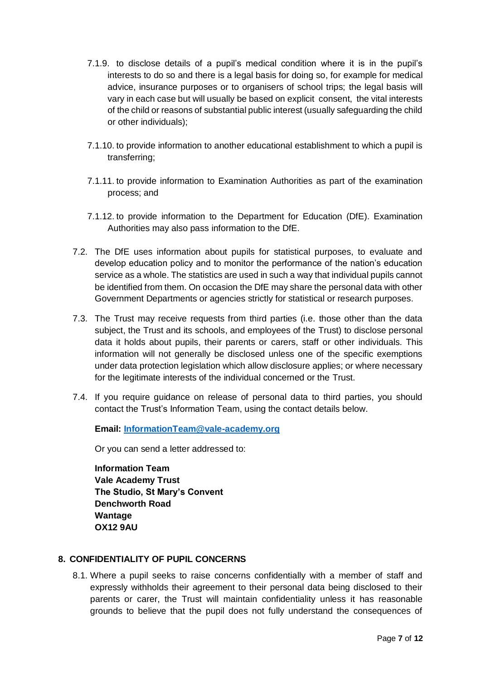- 7.1.9. to disclose details of a pupil's medical condition where it is in the pupil's interests to do so and there is a legal basis for doing so, for example for medical advice, insurance purposes or to organisers of school trips; the legal basis will vary in each case but will usually be based on explicit consent, the vital interests of the child or reasons of substantial public interest (usually safeguarding the child or other individuals);
- 7.1.10. to provide information to another educational establishment to which a pupil is transferring;
- 7.1.11. to provide information to Examination Authorities as part of the examination process; and
- 7.1.12. to provide information to the Department for Education (DfE). Examination Authorities may also pass information to the DfE.
- 7.2. The DfE uses information about pupils for statistical purposes, to evaluate and develop education policy and to monitor the performance of the nation's education service as a whole. The statistics are used in such a way that individual pupils cannot be identified from them. On occasion the DfE may share the personal data with other Government Departments or agencies strictly for statistical or research purposes.
- 7.3. The Trust may receive requests from third parties (i.e. those other than the data subject, the Trust and its schools, and employees of the Trust) to disclose personal data it holds about pupils, their parents or carers, staff or other individuals. This information will not generally be disclosed unless one of the specific exemptions under data protection legislation which allow disclosure applies; or where necessary for the legitimate interests of the individual concerned or the Trust.
- 7.4. If you require guidance on release of personal data to third parties, you should contact the Trust's Information Team, using the contact details below.

**Email: [InformationTeam@vale-academy.org](mailto:InformationTeam@vale-academy.org)**

Or you can send a letter addressed to:

**Information Team Vale Academy Trust The Studio, St Mary's Convent Denchworth Road Wantage OX12 9AU**

## **8. CONFIDENTIALITY OF PUPIL CONCERNS**

8.1. Where a pupil seeks to raise concerns confidentially with a member of staff and expressly withholds their agreement to their personal data being disclosed to their parents or carer, the Trust will maintain confidentiality unless it has reasonable grounds to believe that the pupil does not fully understand the consequences of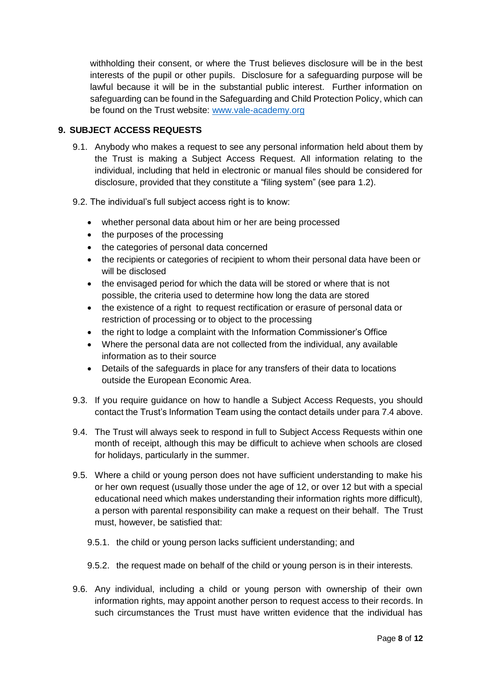withholding their consent, or where the Trust believes disclosure will be in the best interests of the pupil or other pupils. Disclosure for a safeguarding purpose will be lawful because it will be in the substantial public interest. Further information on safeguarding can be found in the Safeguarding and Child Protection Policy, which can be found on the Trust website: [www.vale-academy.org](http://www.vale-academy.org/)

# **9. SUBJECT ACCESS REQUESTS**

- 9.1. Anybody who makes a request to see any personal information held about them by the Trust is making a Subject Access Request. All information relating to the individual, including that held in electronic or manual files should be considered for disclosure, provided that they constitute a "filing system" (see para 1.2).
- 9.2. The individual's full subject access right is to know:
	- whether personal data about him or her are being processed
	- the purposes of the processing
	- the categories of personal data concerned
	- the recipients or categories of recipient to whom their personal data have been or will be disclosed
	- the envisaged period for which the data will be stored or where that is not possible, the criteria used to determine how long the data are stored
	- the existence of a right to request rectification or erasure of personal data or restriction of processing or to object to the processing
	- the right to lodge a complaint with the Information Commissioner's Office
	- Where the personal data are not collected from the individual, any available information as to their source
	- Details of the safeguards in place for any transfers of their data to locations outside the European Economic Area.
- 9.3. If you require guidance on how to handle a Subject Access Requests, you should contact the Trust's Information Team using the contact details under para 7.4 above.
- 9.4. The Trust will always seek to respond in full to Subject Access Requests within one month of receipt, although this may be difficult to achieve when schools are closed for holidays, particularly in the summer.
- 9.5. Where a child or young person does not have sufficient understanding to make his or her own request (usually those under the age of 12, or over 12 but with a special educational need which makes understanding their information rights more difficult), a person with parental responsibility can make a request on their behalf. The Trust must, however, be satisfied that:
	- 9.5.1. the child or young person lacks sufficient understanding; and
	- 9.5.2. the request made on behalf of the child or young person is in their interests.
- 9.6. Any individual, including a child or young person with ownership of their own information rights, may appoint another person to request access to their records. In such circumstances the Trust must have written evidence that the individual has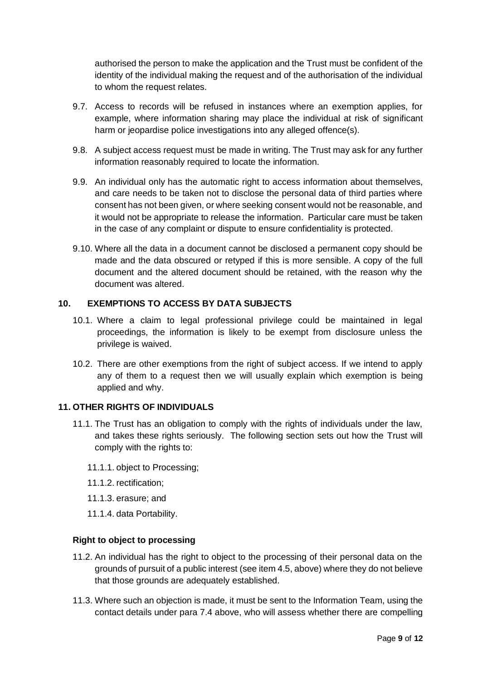authorised the person to make the application and the Trust must be confident of the identity of the individual making the request and of the authorisation of the individual to whom the request relates.

- 9.7. Access to records will be refused in instances where an exemption applies, for example, where information sharing may place the individual at risk of significant harm or jeopardise police investigations into any alleged offence(s).
- 9.8. A subject access request must be made in writing. The Trust may ask for any further information reasonably required to locate the information.
- 9.9. An individual only has the automatic right to access information about themselves, and care needs to be taken not to disclose the personal data of third parties where consent has not been given, or where seeking consent would not be reasonable, and it would not be appropriate to release the information. Particular care must be taken in the case of any complaint or dispute to ensure confidentiality is protected.
- 9.10. Where all the data in a document cannot be disclosed a permanent copy should be made and the data obscured or retyped if this is more sensible. A copy of the full document and the altered document should be retained, with the reason why the document was altered.

# **10. EXEMPTIONS TO ACCESS BY DATA SUBJECTS**

- 10.1. Where a claim to legal professional privilege could be maintained in legal proceedings, the information is likely to be exempt from disclosure unless the privilege is waived.
- 10.2. There are other exemptions from the right of subject access. If we intend to apply any of them to a request then we will usually explain which exemption is being applied and why.

## **11. OTHER RIGHTS OF INDIVIDUALS**

- 11.1. The Trust has an obligation to comply with the rights of individuals under the law, and takes these rights seriously. The following section sets out how the Trust will comply with the rights to:
	- 11.1.1. object to Processing;
	- 11.1.2. rectification;
	- 11.1.3. erasure; and
	- 11.1.4. data Portability.

#### **Right to object to processing**

- 11.2. An individual has the right to object to the processing of their personal data on the grounds of pursuit of a public interest (see item 4.5, above) where they do not believe that those grounds are adequately established.
- 11.3. Where such an objection is made, it must be sent to the Information Team, using the contact details under para 7.4 above, who will assess whether there are compelling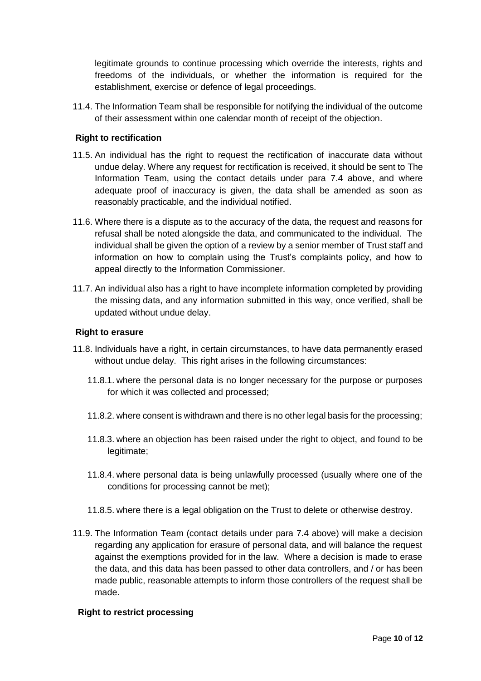legitimate grounds to continue processing which override the interests, rights and freedoms of the individuals, or whether the information is required for the establishment, exercise or defence of legal proceedings.

11.4. The Information Team shall be responsible for notifying the individual of the outcome of their assessment within one calendar month of receipt of the objection.

## **Right to rectification**

- 11.5. An individual has the right to request the rectification of inaccurate data without undue delay. Where any request for rectification is received, it should be sent to The Information Team, using the contact details under para 7.4 above, and where adequate proof of inaccuracy is given, the data shall be amended as soon as reasonably practicable, and the individual notified.
- 11.6. Where there is a dispute as to the accuracy of the data, the request and reasons for refusal shall be noted alongside the data, and communicated to the individual. The individual shall be given the option of a review by a senior member of Trust staff and information on how to complain using the Trust's complaints policy, and how to appeal directly to the Information Commissioner.
- 11.7. An individual also has a right to have incomplete information completed by providing the missing data, and any information submitted in this way, once verified, shall be updated without undue delay.

## **Right to erasure**

- 11.8. Individuals have a right, in certain circumstances, to have data permanently erased without undue delay. This right arises in the following circumstances:
	- 11.8.1. where the personal data is no longer necessary for the purpose or purposes for which it was collected and processed;
	- 11.8.2. where consent is withdrawn and there is no other legal basis for the processing;
	- 11.8.3. where an objection has been raised under the right to object, and found to be legitimate;
	- 11.8.4. where personal data is being unlawfully processed (usually where one of the conditions for processing cannot be met);
	- 11.8.5. where there is a legal obligation on the Trust to delete or otherwise destroy.
- 11.9. The Information Team (contact details under para 7.4 above) will make a decision regarding any application for erasure of personal data, and will balance the request against the exemptions provided for in the law. Where a decision is made to erase the data, and this data has been passed to other data controllers, and / or has been made public, reasonable attempts to inform those controllers of the request shall be made.

## **Right to restrict processing**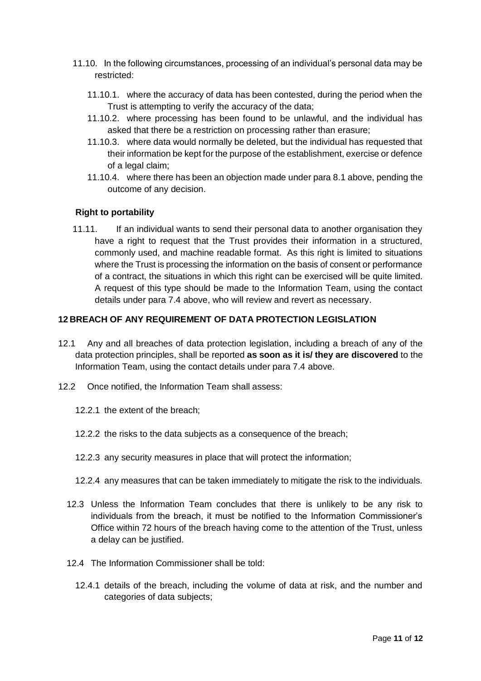- 11.10. In the following circumstances, processing of an individual's personal data may be restricted:
	- 11.10.1. where the accuracy of data has been contested, during the period when the Trust is attempting to verify the accuracy of the data;
	- 11.10.2. where processing has been found to be unlawful, and the individual has asked that there be a restriction on processing rather than erasure;
	- 11.10.3. where data would normally be deleted, but the individual has requested that their information be kept for the purpose of the establishment, exercise or defence of a legal claim;
	- 11.10.4. where there has been an objection made under para 8.1 above, pending the outcome of any decision.

# **Right to portability**

11.11. If an individual wants to send their personal data to another organisation they have a right to request that the Trust provides their information in a structured, commonly used, and machine readable format. As this right is limited to situations where the Trust is processing the information on the basis of consent or performance of a contract, the situations in which this right can be exercised will be quite limited. A request of this type should be made to the Information Team, using the contact details under para 7.4 above, who will review and revert as necessary.

# **12 BREACH OF ANY REQUIREMENT OF DATA PROTECTION LEGISLATION**

- 12.1 Any and all breaches of data protection legislation, including a breach of any of the data protection principles, shall be reported **as soon as it is/ they are discovered** to the Information Team, using the contact details under para 7.4 above.
- 12.2 Once notified, the Information Team shall assess:
	- 12.2.1 the extent of the breach;
	- 12.2.2 the risks to the data subjects as a consequence of the breach;
	- 12.2.3 any security measures in place that will protect the information;
	- 12.2.4 any measures that can be taken immediately to mitigate the risk to the individuals.
	- 12.3 Unless the Information Team concludes that there is unlikely to be any risk to individuals from the breach, it must be notified to the Information Commissioner's Office within 72 hours of the breach having come to the attention of the Trust, unless a delay can be justified.
	- 12.4 The Information Commissioner shall be told:
		- 12.4.1 details of the breach, including the volume of data at risk, and the number and categories of data subjects;